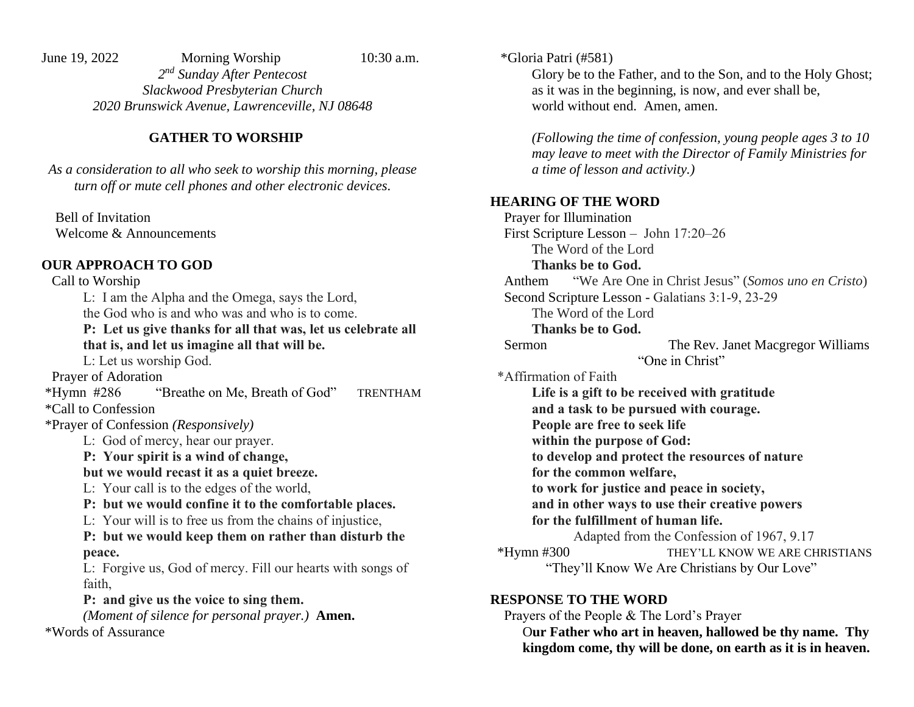June 19, 2022 Morning Worship 10:30 a.m.

*2 nd Sunday After Pentecost Slackwood Presbyterian Church 2020 Brunswick Avenue, Lawrenceville, NJ 08648* 

## **GATHER TO WORSHIP**

*As a consideration to all who seek to worship this morning, please turn off or mute cell phones and other electronic devices.* 

 Bell of Invitation Welcome & Announcements

# **OUR APPROACH TO GOD**

Call to Worship L: I am the Alpha and the Omega, says the Lord, the God who is and who was and who is to come. **P: Let us give thanks for all that was, let us celebrate all that is, and let us imagine all that will be.** L: Let us worship God. Prayer of Adoration \*Hymn #286 "Breathe on Me, Breath of God" TRENTHAM \*Call to Confession \*Prayer of Confession *(Responsively)* L: God of mercy, hear our prayer. **P: Your spirit is a wind of change, but we would recast it as a quiet breeze.** L: Your call is to the edges of the world, **P: but we would confine it to the comfortable places.** L: Your will is to free us from the chains of injustice, **P: but we would keep them on rather than disturb the peace.** L: Forgive us, God of mercy. Fill our hearts with songs of faith, **P: and give us the voice to sing them.** *(Moment of silence for personal prayer.)* **Amen.**

\*Words of Assurance

\*Gloria Patri (#581)

Glory be to the Father, and to the Son, and to the Holy Ghost; as it was in the beginning, is now, and ever shall be, world without end. Amen, amen.

*(Following the time of confession, young people ages 3 to 10 may leave to meet with the Director of Family Ministries for a time of lesson and activity.)*

### **HEARING OF THE WORD**

 Prayer for Illumination First Scripture Lesson – John 17:20–26 The Word of the Lord **Thanks be to God.** Anthem "We Are One in Christ Jesus" (*Somos uno en Cristo*) Second Scripture Lesson - Galatians 3:1-9, 23-29 The Word of the Lord **Thanks be to God.** Sermon The Rev. Janet Macgregor Williams "One in Christ" \*Affirmation of Faith **Life is a gift to be received with gratitude and a task to be pursued with courage. People are free to seek life within the purpose of God: to develop and protect the resources of nature for the common welfare, to work for justice and peace in society, and in other ways to use their creative powers for the fulfillment of human life.** Adapted from the Confession of 1967, 9.17 \*Hymn #300 THEY'LL KNOW WE ARE CHRISTIANS "They'll Know We Are Christians by Our Love"

### **RESPONSE TO THE WORD**

 Prayers of the People & The Lord's Prayer O**ur Father who art in heaven, hallowed be thy name. Thy kingdom come, thy will be done, on earth as it is in heaven.**